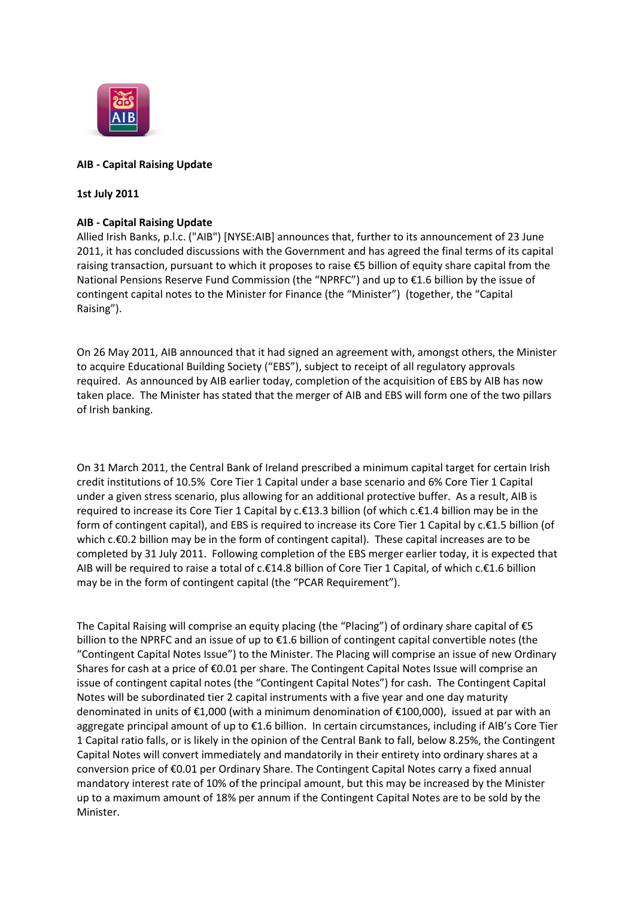

# **AIB - Capital Raising Update**

## **1st July 2011**

# **AIB - Capital Raising Update**

Allied Irish Banks, p.l.c. ("AIB") [NYSE:AIB] announces that, further to its announcement of 23 June 2011, it has concluded discussions with the Government and has agreed the final terms of its capital raising transaction, pursuant to which it proposes to raise €5 billion of equity share capital from the National Pensions Reserve Fund Commission (the "NPRFC") and up to €1.6 billion by the issue of contingent capital notes to the Minister for Finance (the "Minister") (together, the "Capital Raising").

On 26 May 2011, AIB announced that it had signed an agreement with, amongst others, the Minister to acquire Educational Building Society ("EBS"), subject to receipt of all regulatory approvals required. As announced by AIB earlier today, completion of the acquisition of EBS by AIB has now taken place. The Minister has stated that the merger of AIB and EBS will form one of the two pillars of Irish banking.

On 31 March 2011, the Central Bank of Ireland prescribed a minimum capital target for certain Irish credit institutions of 10.5% Core Tier 1 Capital under a base scenario and 6% Core Tier 1 Capital under a given stress scenario, plus allowing for an additional protective buffer. As a result, AIB is required to increase its Core Tier 1 Capital by c.€13.3 billion (of which c.€1.4 billion may be in the form of contingent capital), and EBS is required to increase its Core Tier 1 Capital by c.€1.5 billion (of which c.€0.2 billion may be in the form of contingent capital). These capital increases are to be completed by 31 July 2011. Following completion of the EBS merger earlier today, it is expected that AIB will be required to raise a total of c.€14.8 billion of Core Tier 1 Capital, of which c.€1.6 billion may be in the form of contingent capital (the "PCAR Requirement").

The Capital Raising will comprise an equity placing (the "Placing") of ordinary share capital of  $\epsilon$ 5 billion to the NPRFC and an issue of up to €1.6 billion of contingent capital convertible notes (the "Contingent Capital Notes Issue") to the Minister. The Placing will comprise an issue of new Ordinary Shares for cash at a price of €0.01 per share. The Contingent Capital Notes Issue will comprise an issue of contingent capital notes (the "Contingent Capital Notes") for cash. The Contingent Capital Notes will be subordinated tier 2 capital instruments with a five year and one day maturity denominated in units of  $\epsilon$ 1,000 (with a minimum denomination of  $\epsilon$ 100,000), issued at par with an aggregate principal amount of up to €1.6 billion. In certain circumstances, including if AIB's Core Tier 1 Capital ratio falls, or is likely in the opinion of the Central Bank to fall, below 8.25%, the Contingent Capital Notes will convert immediately and mandatorily in their entirety into ordinary shares at a conversion price of €0.01 per Ordinary Share. The Contingent Capital Notes carry a fixed annual mandatory interest rate of 10% of the principal amount, but this may be increased by the Minister up to a maximum amount of 18% per annum if the Contingent Capital Notes are to be sold by the Minister.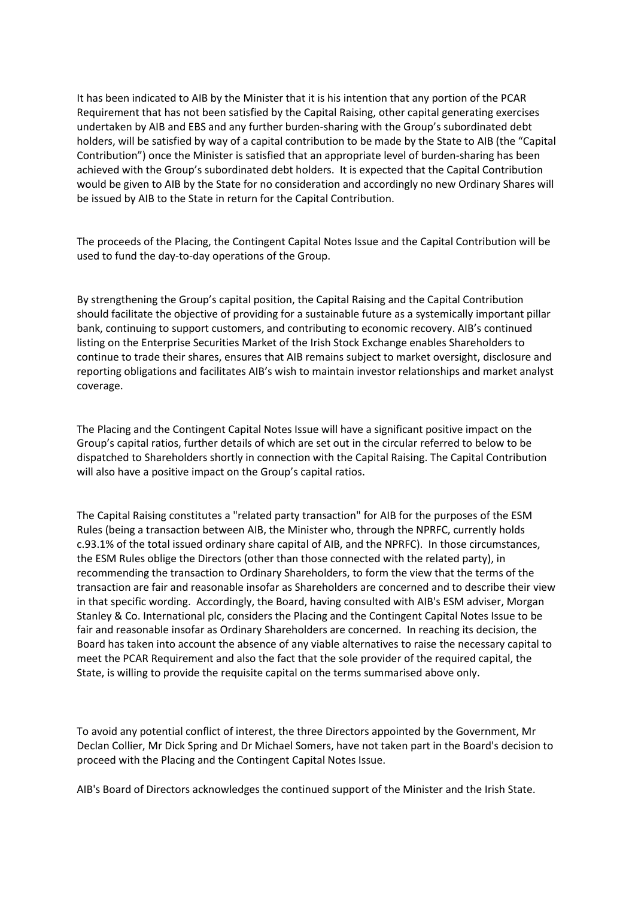It has been indicated to AIB by the Minister that it is his intention that any portion of the PCAR Requirement that has not been satisfied by the Capital Raising, other capital generating exercises undertaken by AIB and EBS and any further burden-sharing with the Group's subordinated debt holders, will be satisfied by way of a capital contribution to be made by the State to AIB (the "Capital Contribution") once the Minister is satisfied that an appropriate level of burden-sharing has been achieved with the Group's subordinated debt holders. It is expected that the Capital Contribution would be given to AIB by the State for no consideration and accordingly no new Ordinary Shares will be issued by AIB to the State in return for the Capital Contribution.

The proceeds of the Placing, the Contingent Capital Notes Issue and the Capital Contribution will be used to fund the day-to-day operations of the Group.

By strengthening the Group's capital position, the Capital Raising and the Capital Contribution should facilitate the objective of providing for a sustainable future as a systemically important pillar bank, continuing to support customers, and contributing to economic recovery. AIB's continued listing on the Enterprise Securities Market of the Irish Stock Exchange enables Shareholders to continue to trade their shares, ensures that AIB remains subject to market oversight, disclosure and reporting obligations and facilitates AIB's wish to maintain investor relationships and market analyst coverage.

The Placing and the Contingent Capital Notes Issue will have a significant positive impact on the Group's capital ratios, further details of which are set out in the circular referred to below to be dispatched to Shareholders shortly in connection with the Capital Raising. The Capital Contribution will also have a positive impact on the Group's capital ratios.

The Capital Raising constitutes a "related party transaction" for AIB for the purposes of the ESM Rules (being a transaction between AIB, the Minister who, through the NPRFC, currently holds c.93.1% of the total issued ordinary share capital of AIB, and the NPRFC). In those circumstances, the ESM Rules oblige the Directors (other than those connected with the related party), in recommending the transaction to Ordinary Shareholders, to form the view that the terms of the transaction are fair and reasonable insofar as Shareholders are concerned and to describe their view in that specific wording. Accordingly, the Board, having consulted with AIB's ESM adviser, Morgan Stanley & Co. International plc, considers the Placing and the Contingent Capital Notes Issue to be fair and reasonable insofar as Ordinary Shareholders are concerned. In reaching its decision, the Board has taken into account the absence of any viable alternatives to raise the necessary capital to meet the PCAR Requirement and also the fact that the sole provider of the required capital, the State, is willing to provide the requisite capital on the terms summarised above only.

To avoid any potential conflict of interest, the three Directors appointed by the Government, Mr Declan Collier, Mr Dick Spring and Dr Michael Somers, have not taken part in the Board's decision to proceed with the Placing and the Contingent Capital Notes Issue.

AIB's Board of Directors acknowledges the continued support of the Minister and the Irish State.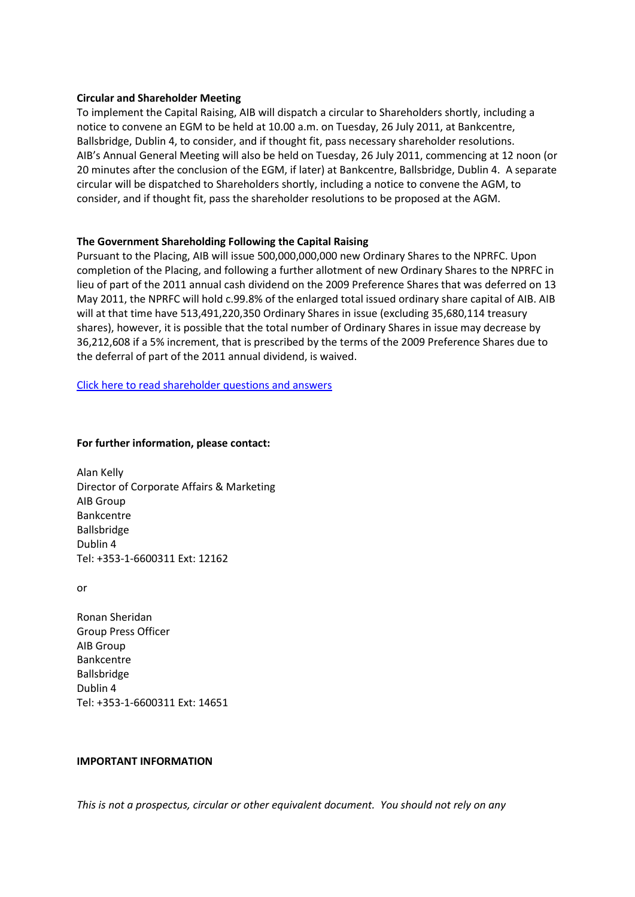### **Circular and Shareholder Meeting**

To implement the Capital Raising, AIB will dispatch a circular to Shareholders shortly, including a notice to convene an EGM to be held at 10.00 a.m. on Tuesday, 26 July 2011, at Bankcentre, Ballsbridge, Dublin 4, to consider, and if thought fit, pass necessary shareholder resolutions. AIB's Annual General Meeting will also be held on Tuesday, 26 July 2011, commencing at 12 noon (or 20 minutes after the conclusion of the EGM, if later) at Bankcentre, Ballsbridge, Dublin 4. A separate circular will be dispatched to Shareholders shortly, including a notice to convene the AGM, to consider, and if thought fit, pass the shareholder resolutions to be proposed at the AGM.

## **The Government Shareholding Following the Capital Raising**

Pursuant to the Placing, AIB will issue 500,000,000,000 new Ordinary Shares to the NPRFC. Upon completion of the Placing, and following a further allotment of new Ordinary Shares to the NPRFC in lieu of part of the 2011 annual cash dividend on the 2009 Preference Shares that was deferred on 13 May 2011, the NPRFC will hold c.99.8% of the enlarged total issued ordinary share capital of AIB. AIB will at that time have 513,491,220,350 Ordinary Shares in issue (excluding 35,680,114 treasury shares), however, it is possible that the total number of Ordinary Shares in issue may decrease by 36,212,608 if a 5% increment, that is prescribed by the terms of the 2009 Preference Shares due to the deferral of part of the 2011 annual dividend, is waived.

[Click here to read shareholder questions and answers](http://www.aib.ie/servlet/ContentServer?pagename=PressOffice/Page/aib_po_d_article_08&cid=1308217011978&c=AIBArticle&article=HistoryDev&poSection=AB&poSubSection=AB_HistoryDev)

## **For further information, please contact:**

Alan Kelly Director of Corporate Affairs & Marketing AIB Group Bankcentre Ballsbridge Dublin 4 Tel: +353-1-6600311 Ext: 12162

or

Ronan Sheridan Group Press Officer AIB Group Bankcentre Ballsbridge Dublin 4 Tel: +353-1-6600311 Ext: 14651

#### **IMPORTANT INFORMATION**

*This is not a prospectus, circular or other equivalent document. You should not rely on any*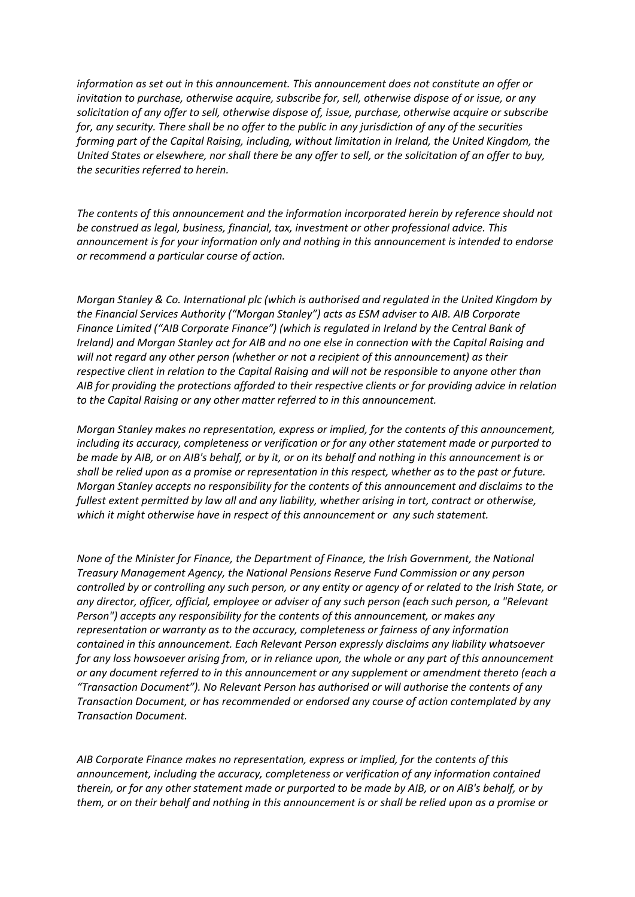*information as set out in this announcement. This announcement does not constitute an offer or invitation to purchase, otherwise acquire, subscribe for, sell, otherwise dispose of or issue, or any solicitation of any offer to sell, otherwise dispose of, issue, purchase, otherwise acquire or subscribe for, any security. There shall be no offer to the public in any jurisdiction of any of the securities forming part of the Capital Raising, including, without limitation in Ireland, the United Kingdom, the United States or elsewhere, nor shall there be any offer to sell, or the solicitation of an offer to buy, the securities referred to herein.*

*The contents of this announcement and the information incorporated herein by reference should not be construed as legal, business, financial, tax, investment or other professional advice. This announcement is for your information only and nothing in this announcement is intended to endorse or recommend a particular course of action.*

*Morgan Stanley & Co. International plc (which is authorised and regulated in the United Kingdom by the Financial Services Authority ("Morgan Stanley") acts as ESM adviser to AIB. AIB Corporate Finance Limited ("AIB Corporate Finance") (which is regulated in Ireland by the Central Bank of Ireland) and Morgan Stanley act for AIB and no one else in connection with the Capital Raising and will not regard any other person (whether or not a recipient of this announcement) as their respective client in relation to the Capital Raising and will not be responsible to anyone other than AIB for providing the protections afforded to their respective clients or for providing advice in relation to the Capital Raising or any other matter referred to in this announcement.*

*Morgan Stanley makes no representation, express or implied, for the contents of this announcement, including its accuracy, completeness or verification or for any other statement made or purported to be made by AIB, or on AIB's behalf, or by it, or on its behalf and nothing in this announcement is or shall be relied upon as a promise or representation in this respect, whether as to the past or future. Morgan Stanley accepts no responsibility for the contents of this announcement and disclaims to the fullest extent permitted by law all and any liability, whether arising in tort, contract or otherwise, which it might otherwise have in respect of this announcement or any such statement.*

*None of the Minister for Finance, the Department of Finance, the Irish Government, the National Treasury Management Agency, the National Pensions Reserve Fund Commission or any person controlled by or controlling any such person, or any entity or agency of or related to the Irish State, or any director, officer, official, employee or adviser of any such person (each such person, a "Relevant Person") accepts any responsibility for the contents of this announcement, or makes any representation or warranty as to the accuracy, completeness or fairness of any information contained in this announcement. Each Relevant Person expressly disclaims any liability whatsoever for any loss howsoever arising from, or in reliance upon, the whole or any part of this announcement or any document referred to in this announcement or any supplement or amendment thereto (each a "Transaction Document"). No Relevant Person has authorised or will authorise the contents of any Transaction Document, or has recommended or endorsed any course of action contemplated by any Transaction Document.*

*AIB Corporate Finance makes no representation, express or implied, for the contents of this announcement, including the accuracy, completeness or verification of any information contained therein, or for any other statement made or purported to be made by AIB, or on AIB's behalf, or by them, or on their behalf and nothing in this announcement is or shall be relied upon as a promise or*